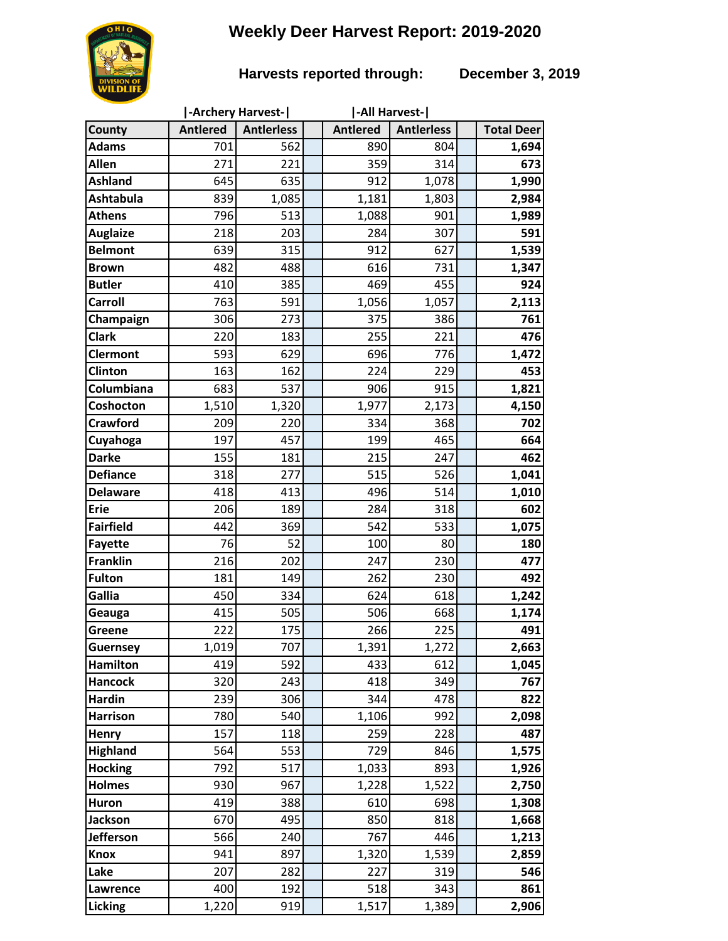# **Weekly Deer Harvest Report: 2019-2020**

## **Harvests reported through: December 3, 2019**

|                  | <b>-Archery Harvest-</b> |                   |  | -All Harvest-   |                   |  |                   |
|------------------|--------------------------|-------------------|--|-----------------|-------------------|--|-------------------|
| County           | <b>Antlered</b>          | <b>Antierless</b> |  | <b>Antlered</b> | <b>Antierless</b> |  | <b>Total Deer</b> |
| <b>Adams</b>     | 701                      | 562               |  | 890             | 804               |  | 1,694             |
| Allen            | 271                      | 221               |  | 359             | 314               |  | 673               |
| <b>Ashland</b>   | 645                      | 635               |  | 912             | 1,078             |  | 1,990             |
| <b>Ashtabula</b> | 839                      | 1,085             |  | 1,181           | 1,803             |  | 2,984             |
| <b>Athens</b>    | 796                      | 513               |  | 1,088           | 901               |  | 1,989             |
| <b>Auglaize</b>  | 218                      | 203               |  | 284             | 307               |  | 591               |
| <b>Belmont</b>   | 639                      | 315               |  | 912             | 627               |  | 1,539             |
| <b>Brown</b>     | 482                      | 488               |  | 616             | 731               |  | 1,347             |
| <b>Butler</b>    | 410                      | 385               |  | 469             | 455               |  | 924               |
| <b>Carroll</b>   | 763                      | 591               |  | 1,056           | 1,057             |  | 2,113             |
| Champaign        | 306                      | 273               |  | 375             | 386               |  | 761               |
| <b>Clark</b>     | 220                      | 183               |  | 255             | 221               |  | 476               |
| <b>Clermont</b>  | 593                      | 629               |  | 696             | 776               |  | 1,472             |
| Clinton          | 163                      | 162               |  | 224             | 229               |  | 453               |
| Columbiana       | 683                      | 537               |  | 906             | 915               |  | 1,821             |
| Coshocton        | 1,510                    | 1,320             |  | 1,977           | 2,173             |  | 4,150             |
| <b>Crawford</b>  | 209                      | 220               |  | 334             | 368               |  | 702               |
| Cuyahoga         | 197                      | 457               |  | 199             | 465               |  | 664               |
| <b>Darke</b>     | 155                      | 181               |  | 215             | 247               |  | 462               |
| <b>Defiance</b>  | 318                      | 277               |  | 515             | 526               |  | 1,041             |
| <b>Delaware</b>  | 418                      | 413               |  | 496             | 514               |  | 1,010             |
| <b>Erie</b>      | 206                      | 189               |  | 284             | 318               |  | 602               |
| <b>Fairfield</b> | 442                      | 369               |  | 542             | 533               |  | 1,075             |
| <b>Fayette</b>   | 76                       | 52                |  | 100             | 80                |  | 180               |
| <b>Franklin</b>  | 216                      | 202               |  | 247             | 230               |  | 477               |
| <b>Fulton</b>    | 181                      | 149               |  | 262             | 230               |  | 492               |
| Gallia           | 450                      | 334               |  | 624             | 618               |  | 1,242             |
| Geauga           | 415                      | 505               |  | 506             | 668               |  | 1,174             |
| <b>Greene</b>    | 222                      | 175               |  | 266             | 225               |  | 491               |
| <b>Guernsey</b>  | 1,019                    | 707               |  | 1,391           | 1,272             |  | 2,663             |
| <b>Hamilton</b>  | 419                      | 592               |  | 433             | 612               |  | 1,045             |
| <b>Hancock</b>   | 320                      | 243               |  | 418             | 349               |  | 767               |
| <b>Hardin</b>    | 239                      | 306               |  | 344             | 478               |  | 822               |
| <b>Harrison</b>  | 780                      | 540               |  | 1,106           | 992               |  | 2,098             |
| <b>Henry</b>     | 157                      | 118               |  | 259             | 228               |  | 487               |
| <b>Highland</b>  | 564                      | 553               |  | 729             | 846               |  | 1,575             |
| <b>Hocking</b>   | 792                      | 517               |  | 1,033           | 893               |  | 1,926             |
| <b>Holmes</b>    | 930                      | 967               |  | 1,228           | 1,522             |  | 2,750             |
| <b>Huron</b>     | 419                      | 388               |  | 610             | 698               |  | 1,308             |
| <b>Jackson</b>   | 670                      | 495               |  | 850             | 818               |  | 1,668             |
| <b>Jefferson</b> | 566                      | 240               |  | 767             | 446               |  | 1,213             |
| <b>Knox</b>      | 941                      | 897               |  | 1,320           | 1,539             |  | 2,859             |
| Lake             | 207                      | 282               |  | 227             | 319               |  | 546               |
| Lawrence         | 400                      | 192               |  | 518             | 343               |  | 861               |
| <b>Licking</b>   | 1,220                    | 919               |  | 1,517           | 1,389             |  | 2,906             |